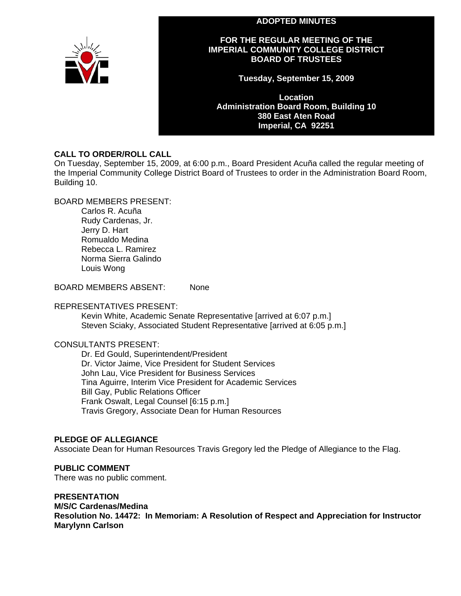



### **FOR THE REGULAR MEETING OF THE IMPERIAL COMMUNITY COLLEGE DISTRICT BOARD OF TRUSTEES**

**Tuesday, September 15, 2009** 

**Location Administration Board Room, Building 10 380 East Aten Road Imperial, CA 92251** 

### **CALL TO ORDER/ROLL CALL**

On Tuesday, September 15, 2009, at 6:00 p.m., Board President Acuña called the regular meeting of the Imperial Community College District Board of Trustees to order in the Administration Board Room, Building 10.

### BOARD MEMBERS PRESENT:

Carlos R. Acuña Rudy Cardenas, Jr. Jerry D. Hart Romualdo Medina Rebecca L. Ramirez Norma Sierra Galindo Louis Wong

BOARD MEMBERS ABSENT: None

### REPRESENTATIVES PRESENT:

Kevin White, Academic Senate Representative [arrived at 6:07 p.m.] Steven Sciaky, Associated Student Representative [arrived at 6:05 p.m.]

### CONSULTANTS PRESENT:

Dr. Ed Gould, Superintendent/President Dr. Victor Jaime, Vice President for Student Services John Lau, Vice President for Business Services Tina Aguirre, Interim Vice President for Academic Services Bill Gay, Public Relations Officer Frank Oswalt, Legal Counsel [6:15 p.m.] Travis Gregory, Associate Dean for Human Resources

### **PLEDGE OF ALLEGIANCE**

Associate Dean for Human Resources Travis Gregory led the Pledge of Allegiance to the Flag.

### **PUBLIC COMMENT**

There was no public comment.

### **PRESENTATION**

**M/S/C Cardenas/Medina** 

**Resolution No. 14472: In Memoriam: A Resolution of Respect and Appreciation for Instructor Marylynn Carlson**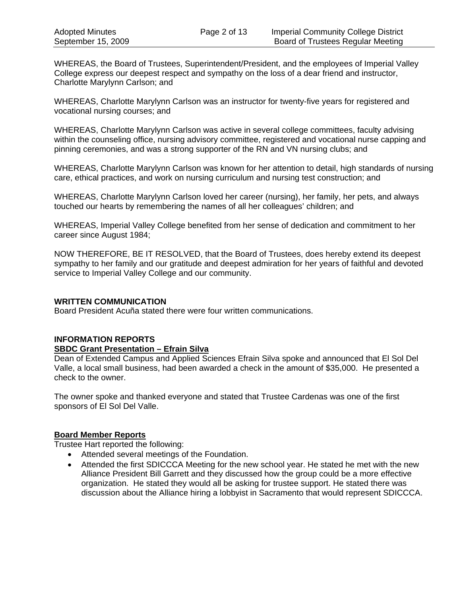WHEREAS, the Board of Trustees, Superintendent/President, and the employees of Imperial Valley College express our deepest respect and sympathy on the loss of a dear friend and instructor, Charlotte Marylynn Carlson; and

WHEREAS, Charlotte Marylynn Carlson was an instructor for twenty-five years for registered and vocational nursing courses; and

WHEREAS, Charlotte Marylynn Carlson was active in several college committees, faculty advising within the counseling office, nursing advisory committee, registered and vocational nurse capping and pinning ceremonies, and was a strong supporter of the RN and VN nursing clubs; and

WHEREAS, Charlotte Marylynn Carlson was known for her attention to detail, high standards of nursing care, ethical practices, and work on nursing curriculum and nursing test construction; and

WHEREAS, Charlotte Marylynn Carlson loved her career (nursing), her family, her pets, and always touched our hearts by remembering the names of all her colleagues' children; and

WHEREAS, Imperial Valley College benefited from her sense of dedication and commitment to her career since August 1984;

NOW THEREFORE, BE IT RESOLVED, that the Board of Trustees, does hereby extend its deepest sympathy to her family and our gratitude and deepest admiration for her years of faithful and devoted service to Imperial Valley College and our community.

### **WRITTEN COMMUNICATION**

Board President Acuña stated there were four written communications.

### **INFORMATION REPORTS**

### **SBDC Grant Presentation – Efrain Silva**

Dean of Extended Campus and Applied Sciences Efrain Silva spoke and announced that El Sol Del Valle, a local small business, had been awarded a check in the amount of \$35,000. He presented a check to the owner.

The owner spoke and thanked everyone and stated that Trustee Cardenas was one of the first sponsors of El Sol Del Valle.

### **Board Member Reports**

Trustee Hart reported the following:

- Attended several meetings of the Foundation.
- Attended the first SDICCCA Meeting for the new school year. He stated he met with the new Alliance President Bill Garrett and they discussed how the group could be a more effective organization. He stated they would all be asking for trustee support. He stated there was discussion about the Alliance hiring a lobbyist in Sacramento that would represent SDICCCA.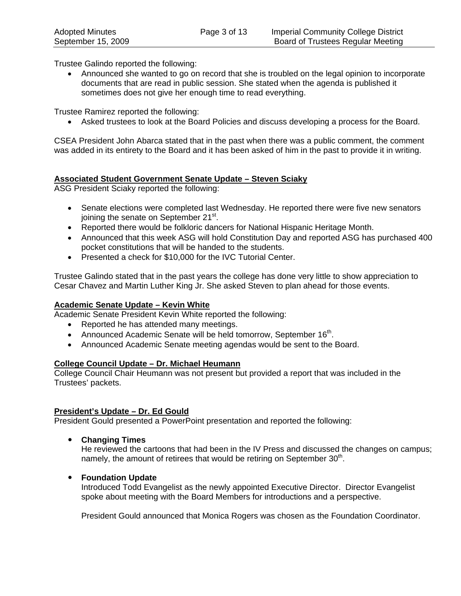Trustee Galindo reported the following:

• Announced she wanted to go on record that she is troubled on the legal opinion to incorporate documents that are read in public session. She stated when the agenda is published it sometimes does not give her enough time to read everything.

Trustee Ramirez reported the following:

• Asked trustees to look at the Board Policies and discuss developing a process for the Board.

CSEA President John Abarca stated that in the past when there was a public comment, the comment was added in its entirety to the Board and it has been asked of him in the past to provide it in writing.

### **Associated Student Government Senate Update – Steven Sciaky**

ASG President Sciaky reported the following:

- Senate elections were completed last Wednesday. He reported there were five new senators joining the senate on September 21<sup>st</sup>.
- Reported there would be folkloric dancers for National Hispanic Heritage Month.
- Announced that this week ASG will hold Constitution Day and reported ASG has purchased 400 pocket constitutions that will be handed to the students.
- Presented a check for \$10,000 for the IVC Tutorial Center.

Trustee Galindo stated that in the past years the college has done very little to show appreciation to Cesar Chavez and Martin Luther King Jr. She asked Steven to plan ahead for those events.

### **Academic Senate Update – Kevin White**

Academic Senate President Kevin White reported the following:

- Reported he has attended many meetings.
- Announced Academic Senate will be held tomorrow, September  $16<sup>th</sup>$ .
- Announced Academic Senate meeting agendas would be sent to the Board.

### **College Council Update – Dr. Michael Heumann**

College Council Chair Heumann was not present but provided a report that was included in the Trustees' packets.

### **President's Update – Dr. Ed Gould**

President Gould presented a PowerPoint presentation and reported the following:

y **Changing Times** 

He reviewed the cartoons that had been in the IV Press and discussed the changes on campus; namely, the amount of retirees that would be retiring on September  $30<sup>th</sup>$ .

**• Foundation Update** 

Introduced Todd Evangelist as the newly appointed Executive Director. Director Evangelist spoke about meeting with the Board Members for introductions and a perspective.

President Gould announced that Monica Rogers was chosen as the Foundation Coordinator.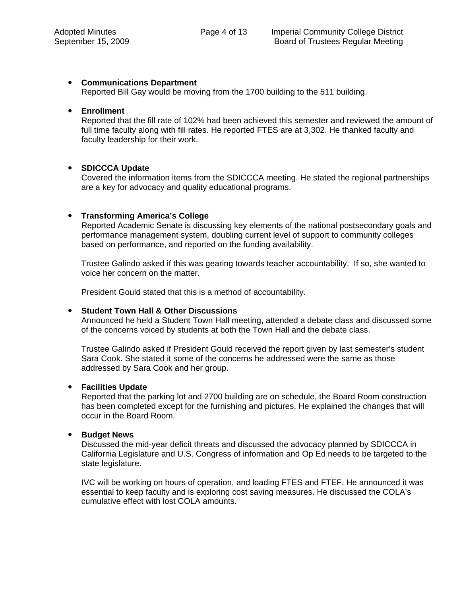### y **Communications Department**

Reported Bill Gay would be moving from the 1700 building to the 511 building.

### y **Enrollment**

Reported that the fill rate of 102% had been achieved this semester and reviewed the amount of full time faculty along with fill rates. He reported FTES are at 3,302. He thanked faculty and faculty leadership for their work.

### y **SDICCCA Update**

Covered the information items from the SDICCCA meeting. He stated the regional partnerships are a key for advocacy and quality educational programs.

#### y **Transforming America's College**

Reported Academic Senate is discussing key elements of the national postsecondary goals and performance management system, doubling current level of support to community colleges based on performance, and reported on the funding availability.

Trustee Galindo asked if this was gearing towards teacher accountability. If so, she wanted to voice her concern on the matter.

President Gould stated that this is a method of accountability.

### y **Student Town Hall & Other Discussions**

Announced he held a Student Town Hall meeting, attended a debate class and discussed some of the concerns voiced by students at both the Town Hall and the debate class.

Trustee Galindo asked if President Gould received the report given by last semester's student Sara Cook. She stated it some of the concerns he addressed were the same as those addressed by Sara Cook and her group.

#### **•** Facilities Update

Reported that the parking lot and 2700 building are on schedule, the Board Room construction has been completed except for the furnishing and pictures. He explained the changes that will occur in the Board Room.

### **•** Budget News

Discussed the mid-year deficit threats and discussed the advocacy planned by SDICCCA in California Legislature and U.S. Congress of information and Op Ed needs to be targeted to the state legislature.

IVC will be working on hours of operation, and loading FTES and FTEF. He announced it was essential to keep faculty and is exploring cost saving measures. He discussed the COLA's cumulative effect with lost COLA amounts.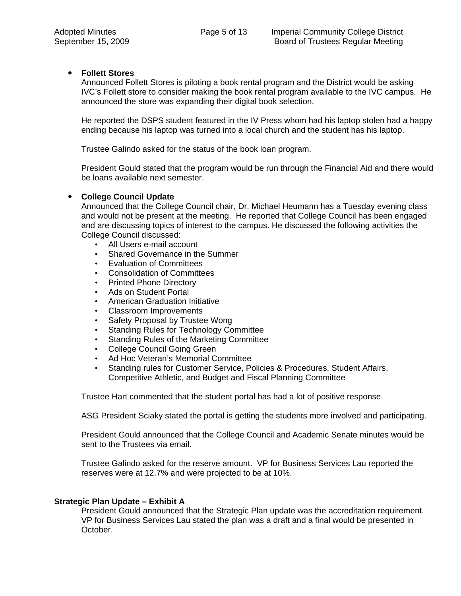### y **Follett Stores**

Announced Follett Stores is piloting a book rental program and the District would be asking IVC's Follett store to consider making the book rental program available to the IVC campus. He announced the store was expanding their digital book selection.

He reported the DSPS student featured in the IV Press whom had his laptop stolen had a happy ending because his laptop was turned into a local church and the student has his laptop.

Trustee Galindo asked for the status of the book loan program.

President Gould stated that the program would be run through the Financial Aid and there would be loans available next semester.

### y **College Council Update**

Announced that the College Council chair, Dr. Michael Heumann has a Tuesday evening class and would not be present at the meeting. He reported that College Council has been engaged and are discussing topics of interest to the campus. He discussed the following activities the College Council discussed:

- All Users e-mail account
- Shared Governance in the Summer
- Evaluation of Committees
- Consolidation of Committees
- Printed Phone Directory
- Ads on Student Portal
- American Graduation Initiative
- Classroom Improvements
- Safety Proposal by Trustee Wong
- Standing Rules for Technology Committee
- Standing Rules of the Marketing Committee
- College Council Going Green
- Ad Hoc Veteran's Memorial Committee
- Standing rules for Customer Service, Policies & Procedures, Student Affairs, Competitive Athletic, and Budget and Fiscal Planning Committee

Trustee Hart commented that the student portal has had a lot of positive response.

ASG President Sciaky stated the portal is getting the students more involved and participating.

President Gould announced that the College Council and Academic Senate minutes would be sent to the Trustees via email.

Trustee Galindo asked for the reserve amount. VP for Business Services Lau reported the reserves were at 12.7% and were projected to be at 10%.

### **Strategic Plan Update – Exhibit A**

President Gould announced that the Strategic Plan update was the accreditation requirement. VP for Business Services Lau stated the plan was a draft and a final would be presented in October.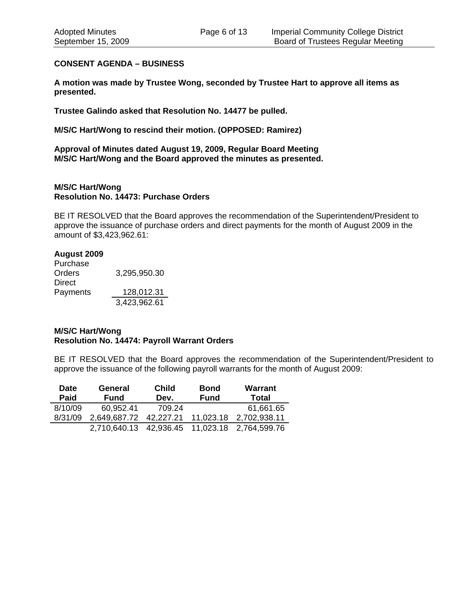### **CONSENT AGENDA – BUSINESS**

**A motion was made by Trustee Wong, seconded by Trustee Hart to approve all items as presented.** 

**Trustee Galindo asked that Resolution No. 14477 be pulled.** 

**M/S/C Hart/Wong to rescind their motion. (OPPOSED: Ramirez)** 

**Approval of Minutes dated August 19, 2009, Regular Board Meeting M/S/C Hart/Wong and the Board approved the minutes as presented.** 

### **M/S/C Hart/Wong Resolution No. 14473: Purchase Orders**

BE IT RESOLVED that the Board approves the recommendation of the Superintendent/President to approve the issuance of purchase orders and direct payments for the month of August 2009 in the amount of \$3,423,962.61:

### **August 2009**

Purchase Orders 3,295,950.30 Direct Payments 128,012.31 3,423,962.61

### **M/S/C Hart/Wong Resolution No. 14474: Payroll Warrant Orders**

BE IT RESOLVED that the Board approves the recommendation of the Superintendent/President to approve the issuance of the following payroll warrants for the month of August 2009:

| <b>Date</b> | <b>General</b> | <b>Child</b> | <b>Bond</b> | <b>Warrant</b>                     |
|-------------|----------------|--------------|-------------|------------------------------------|
| Paid        | <b>Fund</b>    | Dev.         | <b>Fund</b> | Total                              |
| 8/10/09     | 60.952.41      | 709.24       |             | 61,661.65                          |
| 8/31/09     | 2,649,687.72   | 42,227.21    | 11,023.18   | 2,702,938.11                       |
|             | 2,710,640.13   |              |             | 42,936.45  11,023.18  2,764,599.76 |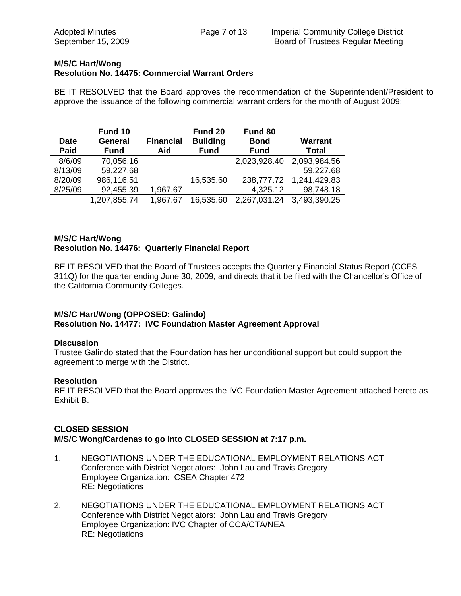### **M/S/C Hart/Wong Resolution No. 14475: Commercial Warrant Orders**

BE IT RESOLVED that the Board approves the recommendation of the Superintendent/President to approve the issuance of the following commercial warrant orders for the month of August 2009:

| <b>Date</b><br>Paid | Fund 10<br>General<br><b>Fund</b> | <b>Financial</b><br>Aid | Fund 20<br><b>Building</b><br><b>Fund</b> | Fund 80<br><b>Bond</b><br><b>Fund</b> | <b>Warrant</b><br><b>Total</b> |
|---------------------|-----------------------------------|-------------------------|-------------------------------------------|---------------------------------------|--------------------------------|
| 8/6/09              | 70,056.16                         |                         |                                           | 2,023,928.40                          | 2,093,984.56                   |
| 8/13/09             | 59,227.68                         |                         |                                           |                                       | 59,227.68                      |
| 8/20/09             | 986,116.51                        |                         | 16,535.60                                 | 238,777.72                            | 1,241,429.83                   |
| 8/25/09             | 92,455.39                         | 1,967.67                |                                           | 4,325.12                              | 98,748.18                      |
|                     | 1,207,855.74                      | 1,967.67                | 16,535.60                                 | 2,267,031.24                          | 3,493,390.25                   |

## **M/S/C Hart/Wong Resolution No. 14476: Quarterly Financial Report**

BE IT RESOLVED that the Board of Trustees accepts the Quarterly Financial Status Report (CCFS 311Q) for the quarter ending June 30, 2009, and directs that it be filed with the Chancellor's Office of the California Community Colleges.

### **M/S/C Hart/Wong (OPPOSED: Galindo) Resolution No. 14477: IVC Foundation Master Agreement Approval**

### **Discussion**

Trustee Galindo stated that the Foundation has her unconditional support but could support the agreement to merge with the District.

### **Resolution**

BE IT RESOLVED that the Board approves the IVC Foundation Master Agreement attached hereto as Exhibit B.

### **CLOSED SESSION M/S/C Wong/Cardenas to go into CLOSED SESSION at 7:17 p.m.**

- 1. NEGOTIATIONS UNDER THE EDUCATIONAL EMPLOYMENT RELATIONS ACT Conference with District Negotiators: John Lau and Travis Gregory Employee Organization: CSEA Chapter 472 RE: Negotiations
- 2. NEGOTIATIONS UNDER THE EDUCATIONAL EMPLOYMENT RELATIONS ACT Conference with District Negotiators: John Lau and Travis Gregory Employee Organization: IVC Chapter of CCA/CTA/NEA RE: Negotiations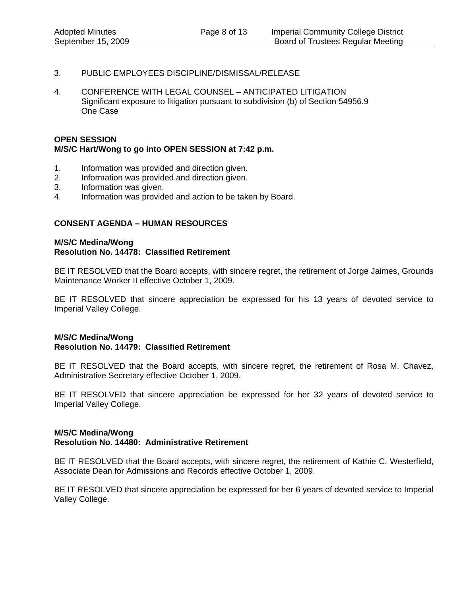- 3. PUBLIC EMPLOYEES DISCIPLINE/DISMISSAL/RELEASE
- 4. CONFERENCE WITH LEGAL COUNSEL ANTICIPATED LITIGATION Significant exposure to litigation pursuant to subdivision (b) of Section 54956.9 One Case

### **OPEN SESSION M/S/C Hart/Wong to go into OPEN SESSION at 7:42 p.m.**

- 1. Information was provided and direction given.
- 2. Information was provided and direction given.
- 3. Information was given.
- 4. Information was provided and action to be taken by Board.

### **CONSENT AGENDA – HUMAN RESOURCES**

#### **M/S/C Medina/Wong Resolution No. 14478: Classified Retirement**

BE IT RESOLVED that the Board accepts, with sincere regret, the retirement of Jorge Jaimes, Grounds Maintenance Worker II effective October 1, 2009.

BE IT RESOLVED that sincere appreciation be expressed for his 13 years of devoted service to Imperial Valley College.

### **M/S/C Medina/Wong Resolution No. 14479: Classified Retirement**

BE IT RESOLVED that the Board accepts, with sincere regret, the retirement of Rosa M. Chavez, Administrative Secretary effective October 1, 2009.

BE IT RESOLVED that sincere appreciation be expressed for her 32 years of devoted service to Imperial Valley College.

### **M/S/C Medina/Wong Resolution No. 14480: Administrative Retirement**

BE IT RESOLVED that the Board accepts, with sincere regret, the retirement of Kathie C. Westerfield, Associate Dean for Admissions and Records effective October 1, 2009.

BE IT RESOLVED that sincere appreciation be expressed for her 6 years of devoted service to Imperial Valley College.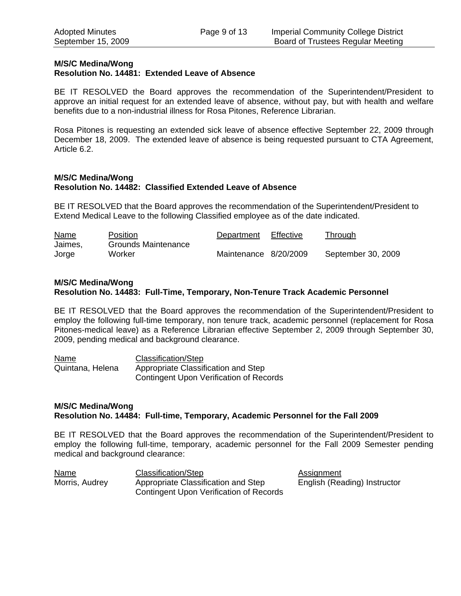### **M/S/C Medina/Wong**

### **Resolution No. 14481: Extended Leave of Absence**

BE IT RESOLVED the Board approves the recommendation of the Superintendent/President to approve an initial request for an extended leave of absence, without pay, but with health and welfare benefits due to a non-industrial illness for Rosa Pitones, Reference Librarian.

Rosa Pitones is requesting an extended sick leave of absence effective September 22, 2009 through December 18, 2009. The extended leave of absence is being requested pursuant to CTA Agreement, Article 6.2.

### **M/S/C Medina/Wong Resolution No. 14482: Classified Extended Leave of Absence**

BE IT RESOLVED that the Board approves the recommendation of the Superintendent/President to Extend Medical Leave to the following Classified employee as of the date indicated.

| Name    | Position            | Department            | Effective | <u>Through</u>     |
|---------|---------------------|-----------------------|-----------|--------------------|
| Jaimes, | Grounds Maintenance |                       |           |                    |
| Jorge   | Worker              | Maintenance 8/20/2009 |           | September 30, 2009 |

#### **M/S/C Medina/Wong Resolution No. 14483: Full-Time, Temporary, Non-Tenure Track Academic Personnel**

BE IT RESOLVED that the Board approves the recommendation of the Superintendent/President to employ the following full-time temporary, non tenure track, academic personnel (replacement for Rosa Pitones-medical leave) as a Reference Librarian effective September 2, 2009 through September 30, 2009, pending medical and background clearance.

| Name             | Classification/Step                            |
|------------------|------------------------------------------------|
| Quintana, Helena | Appropriate Classification and Step            |
|                  | <b>Contingent Upon Verification of Records</b> |

### **M/S/C Medina/Wong Resolution No. 14484: Full-time, Temporary, Academic Personnel for the Fall 2009**

BE IT RESOLVED that the Board approves the recommendation of the Superintendent/President to employ the following full-time, temporary, academic personnel for the Fall 2009 Semester pending medical and background clearance:

| Name           | Classification/Step                            |
|----------------|------------------------------------------------|
| Morris, Audrey | Appropriate Classification and Step            |
|                | <b>Contingent Upon Verification of Records</b> |

Assignment English (Reading) Instructor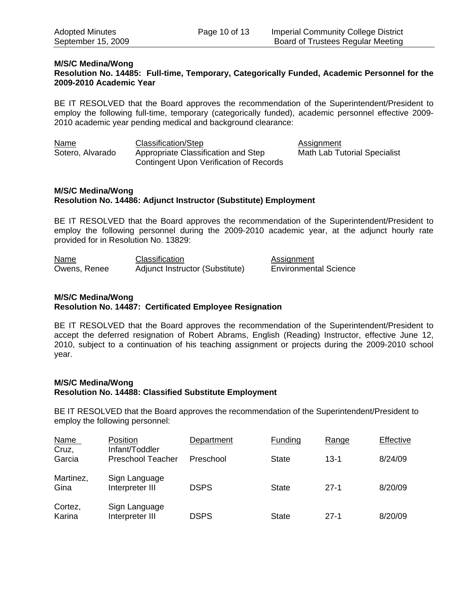#### **M/S/C Medina/Wong Resolution No. 14485: Full-time, Temporary, Categorically Funded, Academic Personnel for the 2009-2010 Academic Year**

BE IT RESOLVED that the Board approves the recommendation of the Superintendent/President to employ the following full-time, temporary (categorically funded), academic personnel effective 2009- 2010 academic year pending medical and background clearance:

| Name             | Classification/Step                     | Assignment                          |
|------------------|-----------------------------------------|-------------------------------------|
| Sotero, Alvarado | Appropriate Classification and Step     | <b>Math Lab Tutorial Specialist</b> |
|                  | Contingent Upon Verification of Records |                                     |

### **M/S/C Medina/Wong Resolution No. 14486: Adjunct Instructor (Substitute) Employment**

BE IT RESOLVED that the Board approves the recommendation of the Superintendent/President to employ the following personnel during the 2009-2010 academic year, at the adjunct hourly rate provided for in Resolution No. 13829:

| Name         | Classification                  | Assignment                   |
|--------------|---------------------------------|------------------------------|
| Owens, Renee | Adjunct Instructor (Substitute) | <b>Environmental Science</b> |

### **M/S/C Medina/Wong Resolution No. 14487: Certificated Employee Resignation**

BE IT RESOLVED that the Board approves the recommendation of the Superintendent/President to accept the deferred resignation of Robert Abrams, English (Reading) Instructor, effective June 12, 2010, subject to a continuation of his teaching assignment or projects during the 2009-2010 school year.

### **M/S/C Medina/Wong Resolution No. 14488: Classified Substitute Employment**

BE IT RESOLVED that the Board approves the recommendation of the Superintendent/President to employ the following personnel:

| <b>Name</b><br>Cruz, | Position<br>Infant/Toddler       | Department  | Funding      | Range    | Effective |
|----------------------|----------------------------------|-------------|--------------|----------|-----------|
| Garcia               | <b>Preschool Teacher</b>         | Preschool   | <b>State</b> | $13 - 1$ | 8/24/09   |
| Martinez,<br>Gina    | Sign Language<br>Interpreter III | <b>DSPS</b> | <b>State</b> | $27-1$   | 8/20/09   |
| Cortez,<br>Karina    | Sign Language<br>Interpreter III | <b>DSPS</b> | <b>State</b> | $27-1$   | 8/20/09   |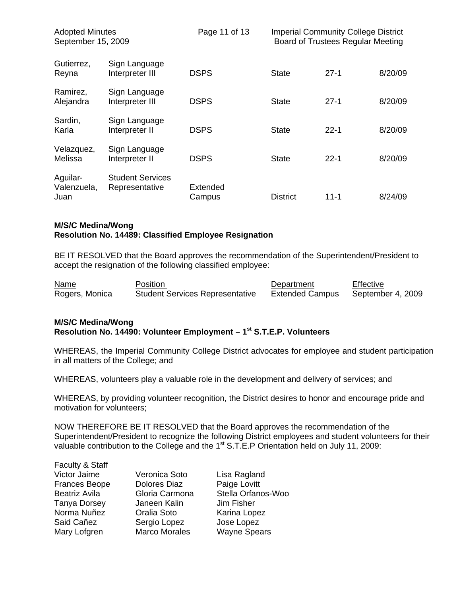| <b>Adopted Minutes</b><br>September 15, 2009 |                                           | Page 11 of 13      | <b>Imperial Community College District</b><br>Board of Trustees Regular Meeting |          |         |
|----------------------------------------------|-------------------------------------------|--------------------|---------------------------------------------------------------------------------|----------|---------|
| Gutierrez,<br>Reyna                          | Sign Language<br>Interpreter III          | <b>DSPS</b>        | <b>State</b>                                                                    | $27-1$   | 8/20/09 |
| Ramirez,<br>Alejandra                        | Sign Language<br>Interpreter III          | <b>DSPS</b>        | <b>State</b>                                                                    | $27 - 1$ | 8/20/09 |
| Sardin,<br>Karla                             | Sign Language<br>Interpreter II           | <b>DSPS</b>        | <b>State</b>                                                                    | $22 - 1$ | 8/20/09 |
| Velazquez,<br>Melissa                        | Sign Language<br>Interpreter II           | <b>DSPS</b>        | <b>State</b>                                                                    | $22 - 1$ | 8/20/09 |
| Aguilar-<br>Valenzuela,<br>Juan              | <b>Student Services</b><br>Representative | Extended<br>Campus | <b>District</b>                                                                 | $11 - 1$ | 8/24/09 |

### **M/S/C Medina/Wong**

### **Resolution No. 14489: Classified Employee Resignation**

BE IT RESOLVED that the Board approves the recommendation of the Superintendent/President to accept the resignation of the following classified employee:

| Name           | Position                               | Department             | Effective         |
|----------------|----------------------------------------|------------------------|-------------------|
| Rogers, Monica | <b>Student Services Representative</b> | <b>Extended Campus</b> | September 4, 2009 |

### **M/S/C Medina/Wong Resolution No. 14490: Volunteer Employment – 1st S.T.E.P. Volunteers**

WHEREAS, the Imperial Community College District advocates for employee and student participation in all matters of the College; and

WHEREAS, volunteers play a valuable role in the development and delivery of services; and

WHEREAS, by providing volunteer recognition, the District desires to honor and encourage pride and motivation for volunteers;

NOW THEREFORE BE IT RESOLVED that the Board approves the recommendation of the Superintendent/President to recognize the following District employees and student volunteers for their valuable contribution to the College and the 1<sup>st</sup> S.T.E.P Orientation held on July 11, 2009:

### Faculty & Staff

| Victor Jaime         | Veronica Soto        | Lisa Ragland        |
|----------------------|----------------------|---------------------|
| <b>Frances Beope</b> | <b>Dolores Diaz</b>  | Paige Lovitt        |
| Beatriz Avila        | Gloria Carmona       | Stella Orfanos-Woo  |
| <b>Tanya Dorsey</b>  | Janeen Kalin         | Jim Fisher          |
| Norma Nuñez          | Oralia Soto          | Karina Lopez        |
| Said Cañez           | Sergio Lopez         | Jose Lopez          |
| Mary Lofgren         | <b>Marco Morales</b> | <b>Wayne Spears</b> |

Veronica Soto Lisa Ragland Jim Fisher Jose Lopez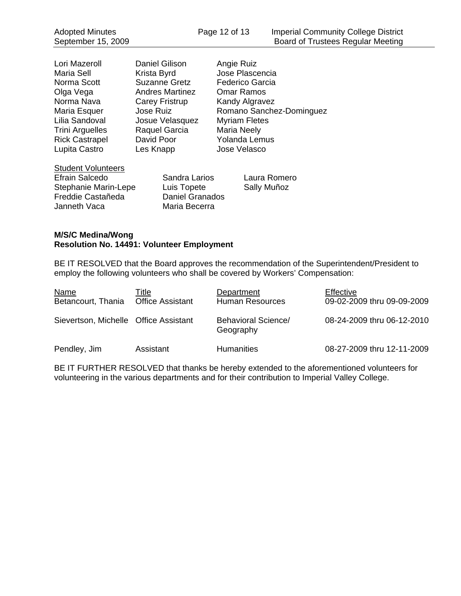| Lori Mazeroll         | Danie  |
|-----------------------|--------|
| Maria Sell            | Krista |
| Norma Scott           | Suza   |
| Olga Vega             | Andre  |
| Norma Nava            | Carey  |
| Maria Esquer          | Jose   |
| Lilia Sandoval        | Josue  |
| Trini Arguelles       | Raqu   |
| <b>Rick Castrapel</b> | Davic  |
| Lupita Castro         | Les K  |
|                       |        |

el Gilison Angie Ruiz a Byrd **Jose Plascencia** nne Gretz Federico Garcia es Martinez Omar Ramos y Fristrup Kandy Algravez e Velasquez Myriam Fletes el Garcia Maria Neely d Poor Yolanda Lemus Lupita Castro Jose Velasco

Ruiz Romano Sanchez-Dominguez

# Student Volunteers

Stephanie Marin-Lepe Luis Topete Sally Muñoz Freddie Castañeda Daniel Granados Janneth Vaca Maria Becerra

Efrain Salcedo Sandra Larios Laura Romero

### **M/S/C Medina/Wong Resolution No. 14491: Volunteer Employment**

BE IT RESOLVED that the Board approves the recommendation of the Superintendent/President to employ the following volunteers who shall be covered by Workers' Compensation:

| <b>Name</b><br>Betancourt, Thania     | Title<br><b>Office Assistant</b> | Department<br><b>Human Resources</b>    | Effective<br>09-02-2009 thru 09-09-2009 |
|---------------------------------------|----------------------------------|-----------------------------------------|-----------------------------------------|
| Sievertson, Michelle Office Assistant |                                  | <b>Behavioral Science/</b><br>Geography | 08-24-2009 thru 06-12-2010              |
| Pendley, Jim                          | Assistant                        | <b>Humanities</b>                       | 08-27-2009 thru 12-11-2009              |

BE IT FURTHER RESOLVED that thanks be hereby extended to the aforementioned volunteers for volunteering in the various departments and for their contribution to Imperial Valley College.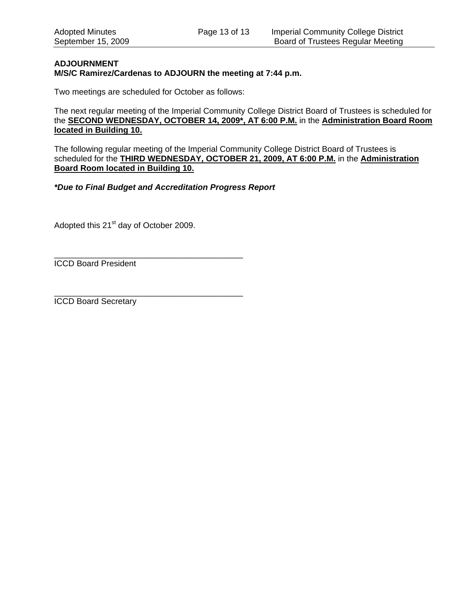### **ADJOURNMENT M/S/C Ramirez/Cardenas to ADJOURN the meeting at 7:44 p.m.**

Two meetings are scheduled for October as follows:

The next regular meeting of the Imperial Community College District Board of Trustees is scheduled for the **SECOND WEDNESDAY, OCTOBER 14, 2009\*, AT 6:00 P.M.** in the **Administration Board Room located in Building 10.**

The following regular meeting of the Imperial Community College District Board of Trustees is scheduled for the **THIRD WEDNESDAY, OCTOBER 21, 2009, AT 6:00 P.M.** in the **Administration Board Room located in Building 10.**

*\*Due to Final Budget and Accreditation Progress Report* 

Adopted this 21<sup>st</sup> day of October 2009.

\_\_\_\_\_\_\_\_\_\_\_\_\_\_\_\_\_\_\_\_\_\_\_\_\_\_\_\_\_\_\_\_\_\_\_\_\_\_\_\_\_ ICCD Board President

\_\_\_\_\_\_\_\_\_\_\_\_\_\_\_\_\_\_\_\_\_\_\_\_\_\_\_\_\_\_\_\_\_\_\_\_\_\_\_\_\_ ICCD Board Secretary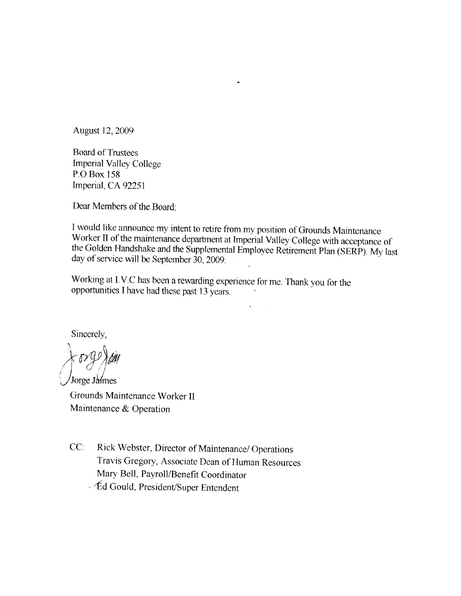August 12, 2009

**Board of Trustees Imperial Valley College** P.O Box 158 Imperial, CA 92251

Dear Members of the Board:

I would like announce my intent to retire from my position of Grounds Maintenance Worker II of the maintenance department at Imperial Valley College with acceptance of the Golden Handshake and the Supplemental Employee Retirement Plan (SERP). My last day of service will be September 30, 2009.

 $\tilde{\mathbf{A}}$ 

Working at I.V.C has been a rewarding experience for me. Thank you for the opportunities I have had these past 13 years.

Sincerely,

Jorge Jaimes Grounds Maintenance Worker II Maintenance & Operation

 $CC$ : Rick Webster, Director of Maintenance/ Operations Travis Gregory, Associate Dean of Human Resources Mary Bell, Payroll/Benefit Coordinator Æd Gould, President/Super Entendent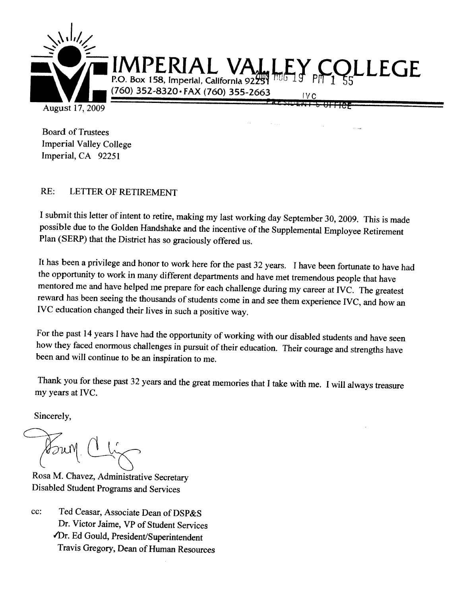

**Board of Trustees Imperial Valley College** Imperial, CA 92251

#### $RE:$ LETTER OF RETIREMENT

I submit this letter of intent to retire, making my last working day September 30, 2009. This is made possible due to the Golden Handshake and the incentive of the Supplemental Employee Retirement Plan (SERP) that the District has so graciously offered us.

It has been a privilege and honor to work here for the past 32 years. I have been fortunate to have had the opportunity to work in many different departments and have met tremendous people that have mentored me and have helped me prepare for each challenge during my career at IVC. The greatest reward has been seeing the thousands of students come in and see them experience IVC, and how an IVC education changed their lives in such a positive way.

For the past 14 years I have had the opportunity of working with our disabled students and have seen how they faced enormous challenges in pursuit of their education. Their courage and strengths have been and will continue to be an inspiration to me.

Thank you for these past 32 years and the great memories that I take with me. I will always treasure my years at IVC.

Sincerely,

Rosa M. Chavez, Administrative Secretary Disabled Student Programs and Services

Ted Ceasar, Associate Dean of DSP&S cc: Dr. Victor Jaime, VP of Student Services Dr. Ed Gould, President/Superintendent Travis Gregory, Dean of Human Resources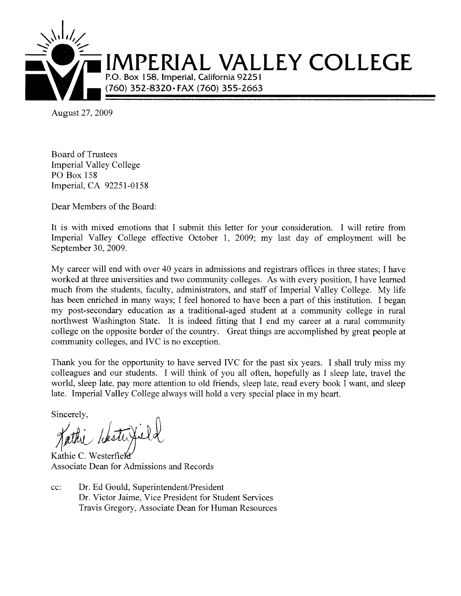

August 27, 2009

**Board of Trustees Imperial Valley College PO Box 158** Imperial, CA 92251-0158

Dear Members of the Board:

It is with mixed emotions that I submit this letter for your consideration. I will retire from Imperial Valley College effective October 1, 2009; my last day of employment will be September 30, 2009.

My career will end with over 40 years in admissions and registrars offices in three states; I have worked at three universities and two community colleges. As with every position, I have learned much from the students, faculty, administrators, and staff of Imperial Valley College. My life has been enriched in many ways; I feel honored to have been a part of this institution. I began my post-secondary education as a traditional-aged student at a community college in rural northwest Washington State. It is indeed fitting that I end my career at a rural community college on the opposite border of the country. Great things are accomplished by great people at community colleges, and IVC is no exception.

Thank you for the opportunity to have served IVC for the past six years. I shall truly miss my colleagues and our students. I will think of you all often, hopefully as I sleep late, travel the world, sleep late, pay more attention to old friends, sleep late, read every book I want, and sleep late. Imperial Valley College always will hold a very special place in my heart.

Sincerely,

Kathie C. Westerfield Associate Dean for Admissions and Records

Dr. Ed Gould, Superintendent/President  $cc$ : Dr. Victor Jaime, Vice President for Student Services Travis Gregory, Associate Dean for Human Resources